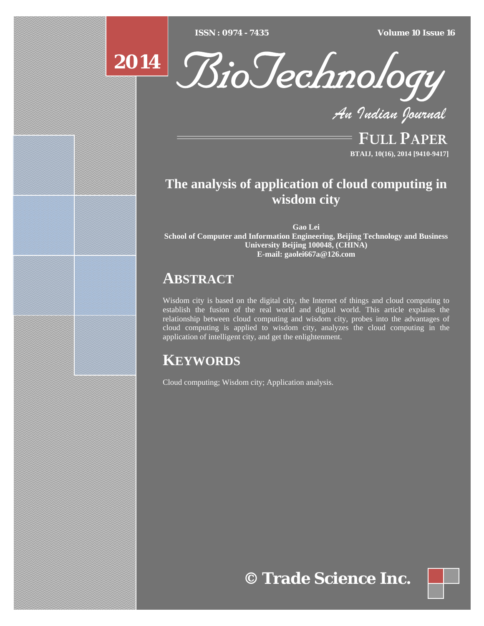$ISSN : 0974 - 7435$ 

*ISSN : 0974 - 7435 Volume 10 Issue 16*





*An Indian Journal*

FULL PAPER **BTAIJ, 10(16), 2014 [9410-9417]**

# **The analysis of application of cloud computing in wisdom city**

**Gao Lei School of Computer and Information Engineering, Beijing Technology and Business University Beijing 100048, (CHINA) E-mail: gaolei667a@126.com** 

# **ABSTRACT**

Wisdom city is based on the digital city, the Internet of things and cloud computing to establish the fusion of the real world and digital world. This article explains the relationship between cloud computing and wisdom city, probes into the advantages of cloud computing is applied to wisdom city, analyzes the cloud computing in the application of intelligent city, and get the enlightenment.

# **KEYWORDS**

Cloud computing; Wisdom city; Application analysis.

**© Trade Science Inc.**

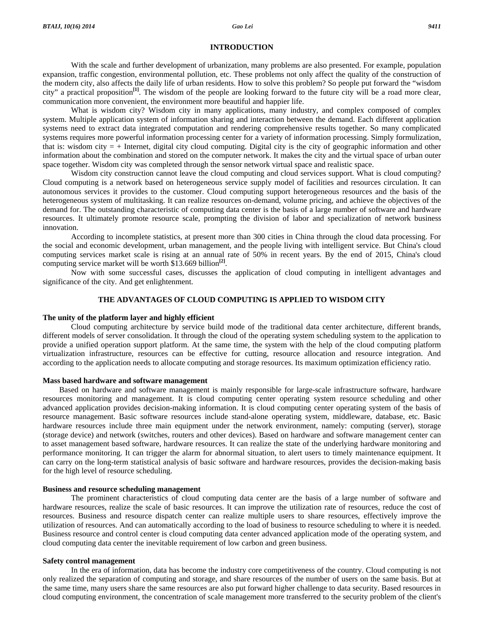# **INTRODUCTION**

 With the scale and further development of urbanization, many problems are also presented. For example, population expansion, traffic congestion, environmental pollution, etc. These problems not only affect the quality of the construction of the modern city, also affects the daily life of urban residents. How to solve this problem? So people put forward the "wisdom city" a practical proposition**[1]**. The wisdom of the people are looking forward to the future city will be a road more clear, communication more convenient, the environment more beautiful and happier life.

 What is wisdom city? Wisdom city in many applications, many industry, and complex composed of complex system. Multiple application system of information sharing and interaction between the demand. Each different application systems need to extract data integrated computation and rendering comprehensive results together. So many complicated systems requires more powerful information processing center for a variety of information processing. Simply formulization, that is: wisdom city  $=$  + Internet, digital city cloud computing. Digital city is the city of geographic information and other information about the combination and stored on the computer network. It makes the city and the virtual space of urban outer space together. Wisdom city was completed through the sensor network virtual space and realistic space.

 Wisdom city construction cannot leave the cloud computing and cloud services support. What is cloud computing? Cloud computing is a network based on heterogeneous service supply model of facilities and resources circulation. It can autonomous services it provides to the customer. Cloud computing support heterogeneous resources and the basis of the heterogeneous system of multitasking. It can realize resources on-demand, volume pricing, and achieve the objectives of the demand for. The outstanding characteristic of computing data center is the basis of a large number of software and hardware resources. It ultimately promote resource scale, prompting the division of labor and specialization of network business innovation.

 According to incomplete statistics, at present more than 300 cities in China through the cloud data processing. For the social and economic development, urban management, and the people living with intelligent service. But China's cloud computing services market scale is rising at an annual rate of 50% in recent years. By the end of 2015, China's cloud computing service market will be worth \$13.669 billion**[2]**.

 Now with some successful cases, discusses the application of cloud computing in intelligent advantages and significance of the city. And get enlightenment.

# **THE ADVANTAGES OF CLOUD COMPUTING IS APPLIED TO WISDOM CITY**

# **The unity of the platform layer and highly efficient**

Cloud computing architecture by service build mode of the traditional data center architecture, different brands, different models of server consolidation. It through the cloud of the operating system scheduling system to the application to provide a unified operation support platform. At the same time, the system with the help of the cloud computing platform virtualization infrastructure, resources can be effective for cutting, resource allocation and resource integration. And according to the application needs to allocate computing and storage resources. Its maximum optimization efficiency ratio.

### **Mass based hardware and software management**

Based on hardware and software management is mainly responsible for large-scale infrastructure software, hardware resources monitoring and management. It is cloud computing center operating system resource scheduling and other advanced application provides decision-making information. It is cloud computing center operating system of the basis of resource management. Basic software resources include stand-alone operating system, middleware, database, etc. Basic hardware resources include three main equipment under the network environment, namely: computing (server), storage (storage device) and network (switches, routers and other devices). Based on hardware and software management center can to asset management based software, hardware resources. It can realize the state of the underlying hardware monitoring and performance monitoring. It can trigger the alarm for abnormal situation, to alert users to timely maintenance equipment. It can carry on the long-term statistical analysis of basic software and hardware resources, provides the decision-making basis for the high level of resource scheduling.

### **Business and resource scheduling management**

 The prominent characteristics of cloud computing data center are the basis of a large number of software and hardware resources, realize the scale of basic resources. It can improve the utilization rate of resources, reduce the cost of resources. Business and resource dispatch center can realize multiple users to share resources, effectively improve the utilization of resources. And can automatically according to the load of business to resource scheduling to where it is needed. Business resource and control center is cloud computing data center advanced application mode of the operating system, and cloud computing data center the inevitable requirement of low carbon and green business.

# **Safety control management**

 In the era of information, data has become the industry core competitiveness of the country. Cloud computing is not only realized the separation of computing and storage, and share resources of the number of users on the same basis. But at the same time, many users share the same resources are also put forward higher challenge to data security. Based resources in cloud computing environment, the concentration of scale management more transferred to the security problem of the client's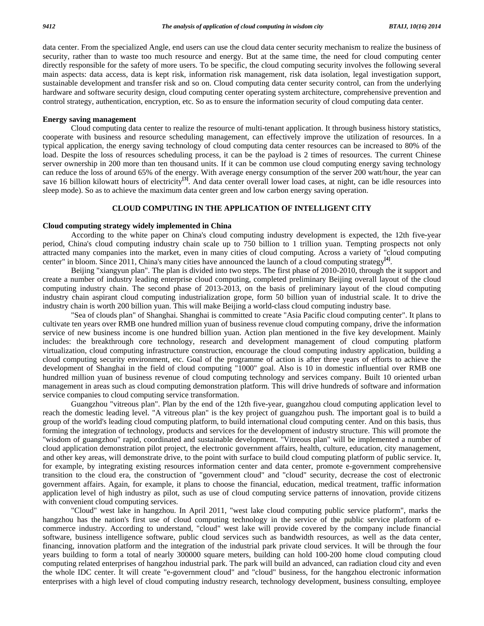data center. From the specialized Angle, end users can use the cloud data center security mechanism to realize the business of security, rather than to waste too much resource and energy. But at the same time, the need for cloud computing center directly responsible for the safety of more users. To be specific, the cloud computing security involves the following several main aspects: data access, data is kept risk, information risk management, risk data isolation, legal investigation support, sustainable development and transfer risk and so on. Cloud computing data center security control, can from the underlying hardware and software security design, cloud computing center operating system architecture, comprehensive prevention and control strategy, authentication, encryption, etc. So as to ensure the information security of cloud computing data center.

# **Energy saving management**

 Cloud computing data center to realize the resource of multi-tenant application. It through business history statistics, cooperate with business and resource scheduling management, can effectively improve the utilization of resources. In a typical application, the energy saving technology of cloud computing data center resources can be increased to 80% of the load. Despite the loss of resources scheduling process, it can be the payload is 2 times of resources. The current Chinese server ownership in 200 more than ten thousand units. If it can be common use cloud computing energy saving technology can reduce the loss of around 65% of the energy. With average energy consumption of the server 200 watt/hour, the year can save 16 billion kilowatt hours of electricity**[3]**. And data center overall lower load cases, at night, can be idle resources into sleep mode). So as to achieve the maximum data center green and low carbon energy saving operation.

# **CLOUD COMPUTING IN THE APPLICATION OF INTELLIGENT CITY**

### **Cloud computing strategy widely implemented in China**

 According to the white paper on China's cloud computing industry development is expected, the 12th five-year period, China's cloud computing industry chain scale up to 750 billion to 1 trillion yuan. Tempting prospects not only attracted many companies into the market, even in many cities of cloud computing. Across a variety of "cloud computing center" in bloom. Since 2011, China's many cities have announced the launch of a cloud computing strategy**[4]**.

 Beijing "xiangyun plan". The plan is divided into two steps. The first phase of 2010-2010, through the it support and create a number of industry leading enterprise cloud computing, completed preliminary Beijing overall layout of the cloud computing industry chain. The second phase of 2013-2013, on the basis of preliminary layout of the cloud computing industry chain aspirant cloud computing industrialization grope, form 50 billion yuan of industrial scale. It to drive the industry chain is worth 200 billion yuan. This will make Beijing a world-class cloud computing industry base.

 "Sea of clouds plan" of Shanghai. Shanghai is committed to create "Asia Pacific cloud computing center". It plans to cultivate ten years over RMB one hundred million yuan of business revenue cloud computing company, drive the information service of new business income is one hundred billion yuan. Action plan mentioned in the five key development. Mainly includes: the breakthrough core technology, research and development management of cloud computing platform virtualization, cloud computing infrastructure construction, encourage the cloud computing industry application, building a cloud computing security environment, etc. Goal of the programme of action is after three years of efforts to achieve the development of Shanghai in the field of cloud computing "1000" goal. Also is 10 in domestic influential over RMB one hundred million yuan of business revenue of cloud computing technology and services company. Built 10 oriented urban management in areas such as cloud computing demonstration platform. This will drive hundreds of software and information service companies to cloud computing service transformation.

 Guangzhou "vitreous plan". Plan by the end of the 12th five-year, guangzhou cloud computing application level to reach the domestic leading level. "A vitreous plan" is the key project of guangzhou push. The important goal is to build a group of the world's leading cloud computing platform, to build international cloud computing center. And on this basis, thus forming the integration of technology, products and services for the development of industry structure. This will promote the "wisdom of guangzhou" rapid, coordinated and sustainable development. "Vitreous plan" will be implemented a number of cloud application demonstration pilot project, the electronic government affairs, health, culture, education, city management, and other key areas, will demonstrate drive, to the point with surface to build cloud computing platform of public service. It, for example, by integrating existing resources information center and data center, promote e-government comprehensive transition to the cloud era, the construction of "government cloud" and "cloud" security, decrease the cost of electronic government affairs. Again, for example, it plans to choose the financial, education, medical treatment, traffic information application level of high industry as pilot, such as use of cloud computing service patterns of innovation, provide citizens with convenient cloud computing services.

 "Cloud" west lake in hangzhou. In April 2011, "west lake cloud computing public service platform", marks the hangzhou has the nation's first use of cloud computing technology in the service of the public service platform of ecommerce industry. According to understand, "cloud" west lake will provide covered by the company include financial software, business intelligence software, public cloud services such as bandwidth resources, as well as the data center, financing, innovation platform and the integration of the industrial park private cloud services. It will be through the four years building to form a total of nearly 300000 square meters, building can hold 100-200 home cloud computing cloud computing related enterprises of hangzhou industrial park. The park will build an advanced, can radiation cloud city and even the whole IDC center. It will create "e-government cloud" and "cloud" business, for the hangzhou electronic information enterprises with a high level of cloud computing industry research, technology development, business consulting, employee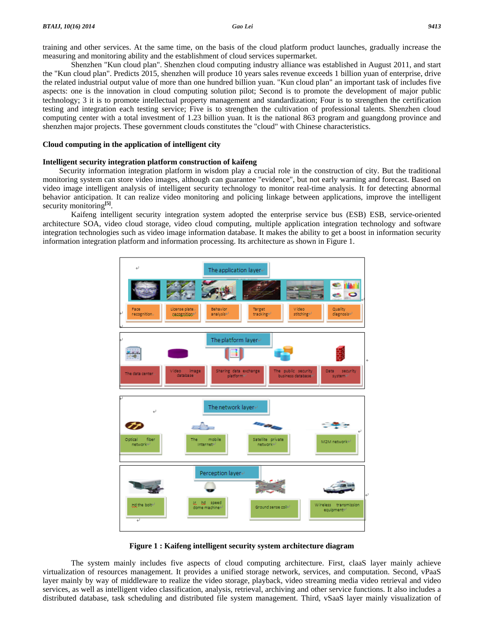training and other services. At the same time, on the basis of the cloud platform product launches, gradually increase the measuring and monitoring ability and the establishment of cloud services supermarket.

 Shenzhen "Kun cloud plan". Shenzhen cloud computing industry alliance was established in August 2011, and start the "Kun cloud plan". Predicts 2015, shenzhen will produce 10 years sales revenue exceeds 1 billion yuan of enterprise, drive the related industrial output value of more than one hundred billion yuan. "Kun cloud plan" an important task of includes five aspects: one is the innovation in cloud computing solution pilot; Second is to promote the development of major public technology; 3 it is to promote intellectual property management and standardization; Four is to strengthen the certification testing and integration each testing service; Five is to strengthen the cultivation of professional talents. Shenzhen cloud computing center with a total investment of 1.23 billion yuan. It is the national 863 program and guangdong province and shenzhen major projects. These government clouds constitutes the "cloud" with Chinese characteristics.

# **Cloud computing in the application of intelligent city**

# **Intelligent security integration platform construction of kaifeng**

Security information integration platform in wisdom play a crucial role in the construction of city. But the traditional monitoring system can store video images, although can guarantee "evidence", but not early warning and forecast. Based on video image intelligent analysis of intelligent security technology to monitor real-time analysis. It for detecting abnormal behavior anticipation. It can realize video monitoring and policing linkage between applications, improve the intelligent security monitoring<sup>[5]</sup>.

 Kaifeng intelligent security integration system adopted the enterprise service bus (ESB) ESB, service-oriented architecture SOA, video cloud storage, video cloud computing, multiple application integration technology and software integration technologies such as video image information database. It makes the ability to get a boost in information security information integration platform and information processing. Its architecture as shown in Figure 1.



**Figure 1 : Kaifeng intelligent security system architecture diagram** 

 The system mainly includes five aspects of cloud computing architecture. First, claaS layer mainly achieve virtualization of resources management. It provides a unified storage network, services, and computation. Second, vPaaS layer mainly by way of middleware to realize the video storage, playback, video streaming media video retrieval and video services, as well as intelligent video classification, analysis, retrieval, archiving and other service functions. It also includes a distributed database, task scheduling and distributed file system management. Third, vSaaS layer mainly visualization of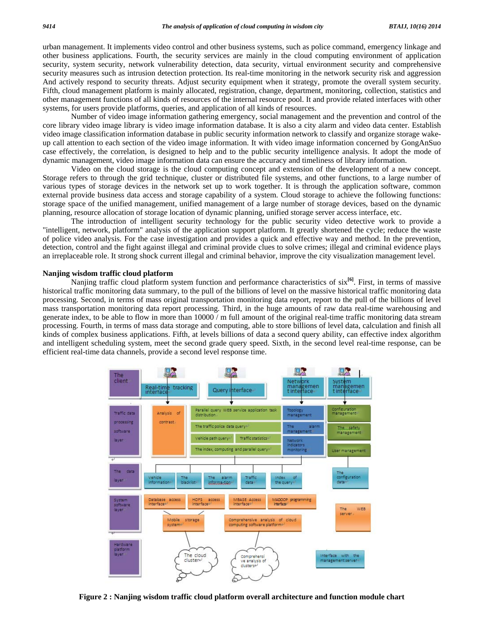urban management. It implements video control and other business systems, such as police command, emergency linkage and other business applications. Fourth, the security services are mainly in the cloud computing environment of application security, system security, network vulnerability detection, data security, virtual environment security and comprehensive security measures such as intrusion detection protection. Its real-time monitoring in the network security risk and aggression And actively respond to security threats. Adjust security equipment when it strategy, promote the overall system security. Fifth, cloud management platform is mainly allocated, registration, change, department, monitoring, collection, statistics and other management functions of all kinds of resources of the internal resource pool. It and provide related interfaces with other systems, for users provide platforms, queries, and application of all kinds of resources.

 Number of video image information gathering emergency, social management and the prevention and control of the core library video image library is video image information database. It is also a city alarm and video data center. Establish video image classification information database in public security information network to classify and organize storage wakeup call attention to each section of the video image information. It with video image information concerned by GongAnSuo case effectively, the correlation, is designed to help and to the public security intelligence analysis. It adopt the mode of dynamic management, video image information data can ensure the accuracy and timeliness of library information.

 Video on the cloud storage is the cloud computing concept and extension of the development of a new concept. Storage refers to through the grid technique, cluster or distributed file systems, and other functions, to a large number of various types of storage devices in the network set up to work together. It is through the application software, common external provide business data access and storage capability of a system. Cloud storage to achieve the following functions: storage space of the unified management, unified management of a large number of storage devices, based on the dynamic planning, resource allocation of storage location of dynamic planning, unified storage server access interface, etc.

 The introduction of intelligent security technology for the public security video detective work to provide a "intelligent, network, platform" analysis of the application support platform. It greatly shortened the cycle; reduce the waste of police video analysis. For the case investigation and provides a quick and effective way and method. In the prevention, detection, control and the fight against illegal and criminal provide clues to solve crimes; illegal and criminal evidence plays an irreplaceable role. It strong shock current illegal and criminal behavior, improve the city visualization management level.

# **Nanjing wisdom traffic cloud platform**

 Nanjing traffic cloud platform system function and performance characteristics of six**[6]**. First, in terms of massive historical traffic monitoring data summary, to the pull of the billions of level on the massive historical traffic monitoring data processing. Second, in terms of mass original transportation monitoring data report, report to the pull of the billions of level mass transportation monitoring data report processing. Third, in the huge amounts of raw data real-time warehousing and generate index, to be able to flow in more than 10000 / m full amount of the original real-time traffic monitoring data stream processing. Fourth, in terms of mass data storage and computing, able to store billions of level data, calculation and finish all kinds of complex business applications. Fifth, at levels billions of data a second query ability, can effective index algorithm and intelligent scheduling system, meet the second grade query speed. Sixth, in the second level real-time response, can be efficient real-time data channels, provide a second level response time.



**Figure 2 : Nanjing wisdom traffic cloud platform overall architecture and function module chart**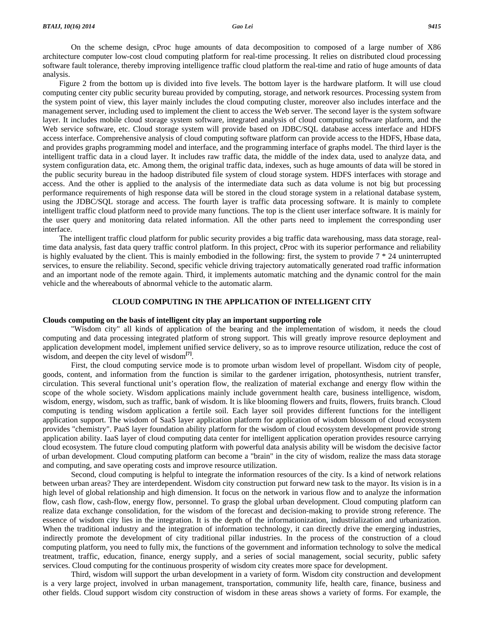On the scheme design, cProc huge amounts of data decomposition to composed of a large number of X86 architecture computer low-cost cloud computing platform for real-time processing. It relies on distributed cloud processing software fault tolerance, thereby improving intelligence traffic cloud platform the real-time and ratio of huge amounts of data analysis.

Figure 2 from the bottom up is divided into five levels. The bottom layer is the hardware platform. It will use cloud computing center city public security bureau provided by computing, storage, and network resources. Processing system from the system point of view, this layer mainly includes the cloud computing cluster, moreover also includes interface and the management server, including used to implement the client to access the Web server. The second layer is the system software layer. It includes mobile cloud storage system software, integrated analysis of cloud computing software platform, and the Web service software, etc. Cloud storage system will provide based on JDBC/SQL database access interface and HDFS access interface. Comprehensive analysis of cloud computing software platform can provide access to the HDFS, Hbase data, and provides graphs programming model and interface, and the programming interface of graphs model. The third layer is the intelligent traffic data in a cloud layer. It includes raw traffic data, the middle of the index data, used to analyze data, and system configuration data, etc. Among them, the original traffic data, indexes, such as huge amounts of data will be stored in the public security bureau in the hadoop distributed file system of cloud storage system. HDFS interfaces with storage and access. And the other is applied to the analysis of the intermediate data such as data volume is not big but processing performance requirements of high response data will be stored in the cloud storage system in a relational database system, using the JDBC/SQL storage and access. The fourth layer is traffic data processing software. It is mainly to complete intelligent traffic cloud platform need to provide many functions. The top is the client user interface software. It is mainly for the user query and monitoring data related information. All the other parts need to implement the corresponding user interface.

The intelligent traffic cloud platform for public security provides a big traffic data warehousing, mass data storage, realtime data analysis, fast data query traffic control platform. In this project, cProc with its superior performance and reliability is highly evaluated by the client. This is mainly embodied in the following: first, the system to provide  $7 * 24$  uninterrupted services, to ensure the reliability. Second, specific vehicle driving trajectory automatically generated road traffic information and an important node of the remote again. Third, it implements automatic matching and the dynamic control for the main vehicle and the whereabouts of abnormal vehicle to the automatic alarm.

# **CLOUD COMPUTING IN THE APPLICATION OF INTELLIGENT CITY**

# **Clouds computing on the basis of intelligent city play an important supporting role**

 "Wisdom city" all kinds of application of the bearing and the implementation of wisdom, it needs the cloud computing and data processing integrated platform of strong support. This will greatly improve resource deployment and application development model, implement unified service delivery, so as to improve resource utilization, reduce the cost of wisdom, and deepen the city level of wisdom**[7]**.

 First, the cloud computing service mode is to promote urban wisdom level of propellant. Wisdom city of people, goods, content, and information from the function is similar to the gardener irrigation, photosynthesis, nutrient transfer, circulation. This several functional unit's operation flow, the realization of material exchange and energy flow within the scope of the whole society. Wisdom applications mainly include government health care, business intelligence, wisdom, wisdom, energy, wisdom, such as traffic, bank of wisdom. It is like blooming flowers and fruits, flowers, fruits branch. Cloud computing is tending wisdom application a fertile soil. Each layer soil provides different functions for the intelligent application support. The wisdom of SaaS layer application platform for application of wisdom blossom of cloud ecosystem provides "chemistry". PaaS layer foundation ability platform for the wisdom of cloud ecosystem development provide strong application ability. IaaS layer of cloud computing data center for intelligent application operation provides resource carrying cloud ecosystem. The future cloud computing platform with powerful data analysis ability will be wisdom the decisive factor of urban development. Cloud computing platform can become a "brain" in the city of wisdom, realize the mass data storage and computing, and save operating costs and improve resource utilization.

 Second, cloud computing is helpful to integrate the information resources of the city. Is a kind of network relations between urban areas? They are interdependent. Wisdom city construction put forward new task to the mayor. Its vision is in a high level of global relationship and high dimension. It focus on the network in various flow and to analyze the information flow, cash flow, cash-flow, energy flow, personnel. To grasp the global urban development. Cloud computing platform can realize data exchange consolidation, for the wisdom of the forecast and decision-making to provide strong reference. The essence of wisdom city lies in the integration. It is the depth of the informationization, industrialization and urbanization. When the traditional industry and the integration of information technology, it can directly drive the emerging industries, indirectly promote the development of city traditional pillar industries. In the process of the construction of a cloud computing platform, you need to fully mix, the functions of the government and information technology to solve the medical treatment, traffic, education, finance, energy supply, and a series of social management, social security, public safety services. Cloud computing for the continuous prosperity of wisdom city creates more space for development.

 Third, wisdom will support the urban development in a variety of form. Wisdom city construction and development is a very large project, involved in urban management, transportation, community life, health care, finance, business and other fields. Cloud support wisdom city construction of wisdom in these areas shows a variety of forms. For example, the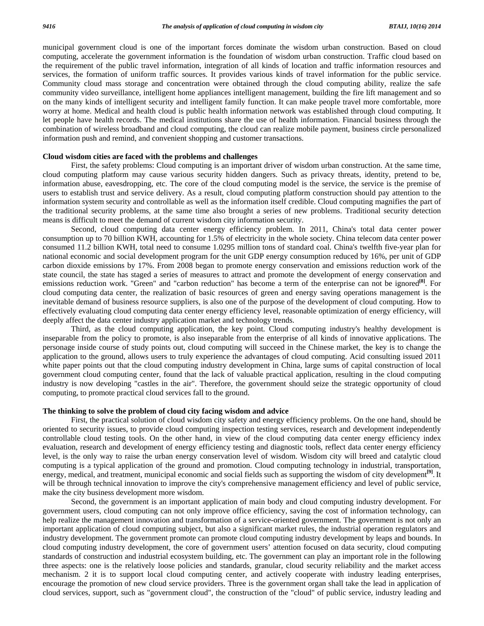municipal government cloud is one of the important forces dominate the wisdom urban construction. Based on cloud computing, accelerate the government information is the foundation of wisdom urban construction. Traffic cloud based on the requirement of the public travel information, integration of all kinds of location and traffic information resources and services, the formation of uniform traffic sources. It provides various kinds of travel information for the public service. Community cloud mass storage and concentration were obtained through the cloud computing ability, realize the safe community video surveillance, intelligent home appliances intelligent management, building the fire lift management and so on the many kinds of intelligent security and intelligent family function. It can make people travel more comfortable, more worry at home. Medical and health cloud is public health information network was established through cloud computing. It let people have health records. The medical institutions share the use of health information. Financial business through the combination of wireless broadband and cloud computing, the cloud can realize mobile payment, business circle personalized information push and remind, and convenient shopping and customer transactions.

# **Cloud wisdom cities are faced with the problems and challenges**

 First, the safety problems: Cloud computing is an important driver of wisdom urban construction. At the same time, cloud computing platform may cause various security hidden dangers. Such as privacy threats, identity, pretend to be, information abuse, eavesdropping, etc. The core of the cloud computing model is the service, the service is the premise of users to establish trust and service delivery. As a result, cloud computing platform construction should pay attention to the information system security and controllable as well as the information itself credible. Cloud computing magnifies the part of the traditional security problems, at the same time also brought a series of new problems. Traditional security detection means is difficult to meet the demand of current wisdom city information security.

 Second, cloud computing data center energy efficiency problem. In 2011, China's total data center power consumption up to 70 billion KWH, accounting for 1.5% of electricity in the whole society. China telecom data center power consumed 11.2 billion KWH, total need to consume 1.0295 million tons of standard coal. China's twelfth five-year plan for national economic and social development program for the unit GDP energy consumption reduced by 16%, per unit of GDP carbon dioxide emissions by 17%. From 2008 began to promote energy conservation and emissions reduction work of the state council, the state has staged a series of measures to attract and promote the development of energy conservation and emissions reduction work. "Green" and "carbon reduction" has become a term of the enterprise can not be ignored**[8]**. For cloud computing data center, the realization of basic resources of green and energy saving operations management is the inevitable demand of business resource suppliers, is also one of the purpose of the development of cloud computing. How to effectively evaluating cloud computing data center energy efficiency level, reasonable optimization of energy efficiency, will deeply affect the data center industry application market and technology trends.

 Third, as the cloud computing application, the key point. Cloud computing industry's healthy development is inseparable from the policy to promote, is also inseparable from the enterprise of all kinds of innovative applications. The personage inside course of study points out, cloud computing will succeed in the Chinese market, the key is to change the application to the ground, allows users to truly experience the advantages of cloud computing. Acid consulting issued 2011 white paper points out that the cloud computing industry development in China, large sums of capital construction of local government cloud computing center, found that the lack of valuable practical application, resulting in the cloud computing industry is now developing "castles in the air". Therefore, the government should seize the strategic opportunity of cloud computing, to promote practical cloud services fall to the ground.

# **The thinking to solve the problem of cloud city facing wisdom and advice**

 First, the practical solution of cloud wisdom city safety and energy efficiency problems. On the one hand, should be oriented to security issues, to provide cloud computing inspection testing services, research and development independently controllable cloud testing tools. On the other hand, in view of the cloud computing data center energy efficiency index evaluation, research and development of energy efficiency testing and diagnostic tools, reflect data center energy efficiency level, is the only way to raise the urban energy conservation level of wisdom. Wisdom city will breed and catalytic cloud computing is a typical application of the ground and promotion. Cloud computing technology in industrial, transportation, energy, medical, and treatment, municipal economic and social fields such as supporting the wisdom of city development**[9]**. It will be through technical innovation to improve the city's comprehensive management efficiency and level of public service, make the city business development more wisdom.

 Second, the government is an important application of main body and cloud computing industry development. For government users, cloud computing can not only improve office efficiency, saving the cost of information technology, can help realize the management innovation and transformation of a service-oriented government. The government is not only an important application of cloud computing subject, but also a significant market rules, the industrial operation regulators and industry development. The government promote can promote cloud computing industry development by leaps and bounds. In cloud computing industry development, the core of government users' attention focused on data security, cloud computing standards of construction and industrial ecosystem building, etc. The government can play an important role in the following three aspects: one is the relatively loose policies and standards, granular, cloud security reliability and the market access mechanism. 2 it is to support local cloud computing center, and actively cooperate with industry leading enterprises, encourage the promotion of new cloud service providers. Three is the government organ shall take the lead in application of cloud services, support, such as "government cloud", the construction of the "cloud" of public service, industry leading and